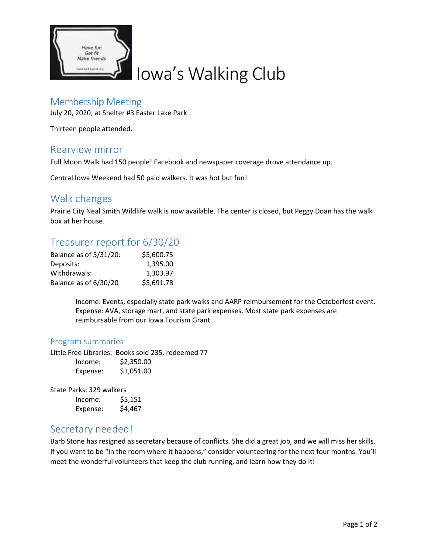

# Iowa's Walking Club

#### Membership Meeting

July 20, 2020, at Shelter #3 Easter Lake Park

Thirteen people attended.

#### Rearview mirror

Full Moon Walk had 150 people! Facebook and newspaper coverage drove attendance up.

Central Iowa Weekend had 50 paid walkers. It was hot but fun!

#### Walk changes

Prairie City Neal Smith Wildlife walk is now available. The center is closed, but Peggy Doan has the walk box at her house.

# Treasurer report for 6/30/20

| Balance as of 5/31/20: | \$5,600.75 |
|------------------------|------------|
| Deposits:              | 1.395.00   |
| Withdrawals:           | 1,303.97   |
| Balance as of 6/30/20  | \$5,691.78 |

Income: Events, especially state park walks and AARP reimbursement for the Octoberfest event. Expense: AVA, storage mart, and state park expenses. Most state park expenses are reimbursable from our Iowa Tourism Grant.

#### Program summaries

Little Free Libraries: Books sold 235, redeemed 77  $Incomo:$   $\zeta$  250.00

| INCOURT. | QZ,33U.UU  |
|----------|------------|
| Expense: | \$1,051.00 |

State Parks: 329 walkers

| Income:  | \$5,151 |
|----------|---------|
| Expense: | \$4,467 |

# Secretary needed!

Barb Stone has resigned as secretary because of conflicts. She did a great job, and we will miss her skills. If you want to be "in the room where it happens," consider volunteering for the next four months. You'll meet the wonderful volunteers that keep the club running, and learn how they do it!